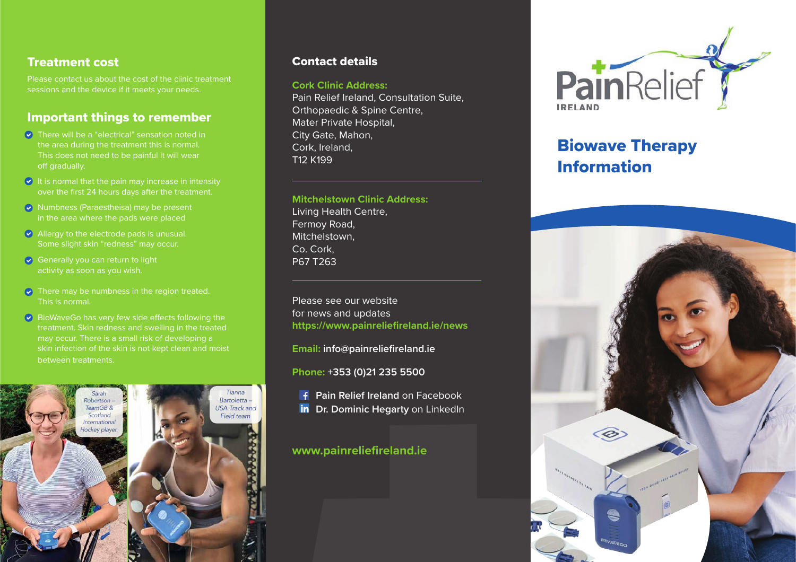# Treatment cost

Please contact us about the cost of the clinic treatment sessions and the device if it meets your needs.

# Important things to remember

- $\overline{\bullet}$  There will be a "electrical" sensation noted in  $\overline{\phantom{a}}$ the area during the treatment this is normal. This does not need to be painful It will wear off gradually.
- $\bullet$  It is normal that the pain may increase in intensity over the first 24 hours days after the treatment.  $\mathbb{R}^n$  is alleviating all kinds of pain in most  $\mathbb{R}^n$
- **Numbness (Paraestheisa) may be present in the body, including the body, including the back, neck, neck, neck**
- $\blacktriangleright$  Allergy to the electrode pads is unusual. Some slight skin "redness" may occur.  $\mathbf{B}$  can also help with Diabetic with  $\mathbf{B}$
- $\bullet$  Generally you can return to light activity as soon as you wish.  $\bullet$  Generally you can return to light and is used by over  $\bullet$ BioWave is trusted by USA professional & college
- $\bullet$  There may be numbness in the region treated. There may be named<br>This is normal. "I've been playing professional golf for over 30
- $\bullet$  BioWaveGo has very few side effects following the state of  $\bullet$ treatment. Skin redness and swelling in the treated treatment. Since I discovered BioWaveGO, in the form of the form of the form of the form of the form of the form of the form of the form of the form of the form of the fo it call risk. Charles and all the my multiple accurations of the my eventy and my eventy of my part of my ever<br>may occur. There is a small risk of developing a may occur. There is a single risk of developing a<br>skin infection of the skin is not kept clean and moist **I have between treatments.** It's the best treatment is a small risk of developing a low-frequency electrical field. This field is field is field in  $\mathbb{R}^n$ *Rocco Mediate – USPGA Professional*  skin into deep tissue where the body creates and the body creates and the body creates and  $\sim$ s and sweinig in the treated



### Contact details

#### **Cork Clinic Address:**

Pain Relief Ireland, Consultation Suite, Orthopaedic & Spine Centre, Mater Private Hospital, City Gate, Mahon, Cork, Ireland, T12 K199

#### **Mitchelstown Clinic Address:**

.<br>Living Health Centre, Fermoy Road, I have used the most **Mitchelstown, and medication of the stription of the stription of the stription of the stription of the stript** Co. Cork, P67 T263 sleep adding to the groaning strain of rg i reduri Centre, componenti con and more often than not had disturbed than  $\mathcal{A}$ 

on treated.<br>Please see our website with the Discover Discover Please see our website for news and updates https://www.painreliefireland.ie/news replacement for all the paints of  $\frac{1}{2}$ 

**Email: info@painreliefireland.ie** *Kristine Hagen – Chiropractor & Director at Personal Best Health and Fitness Studio.*

**Phone: +353 (0)21 235 5500**

**Pain Relief Ireland** on Facebook **Dr. Dominic Hegarty on LinkedIn** degenerative spondylitis, small joints,

# www.painreliefireland.ie



# Biowave Therapy Information